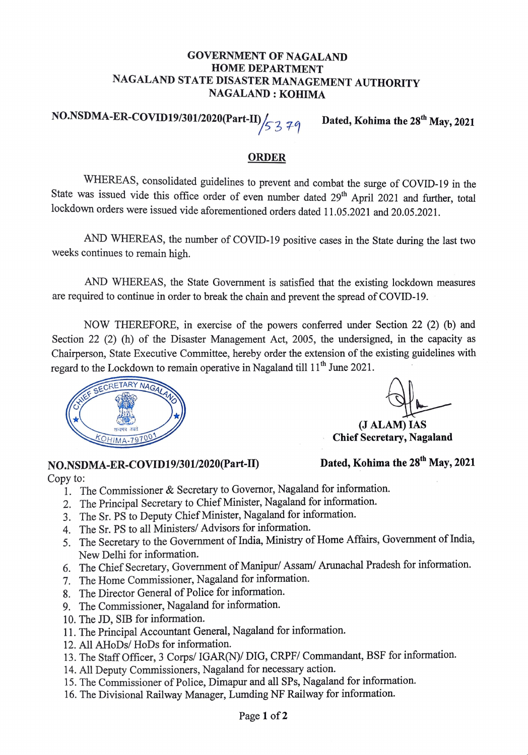## GOVERNMENT OF NAGALAND HOME DEPARTMENT NAGALAND STATE DISASTER MANAGEMENT AUTHORITY NAGALAND: KOHIMA

NO.NSDMA-ER-COVID19/301/2020(Part-II) $\frac{2}{5}$  29 Dated, Kohima the 28<sup>th</sup> May, 2021

## ORDER

WHEREAS, consolidated guidelines to prevent and combat the surge of COVID-19 in the State was issued vide this office order of even number dated 29<sup>th</sup> April 2021 and further, total lockdown orders were issued vide aforementioned orders dated 11.05.2021 and 20.05.2021.

AND WHEREAS, the number of COVID-19 positive cases in the State during the last two weeks continues to remain high.

AND WHEREAS, the State Government is satisfied that the existing lockdown measures are required to continue in order to break the chain and prevent the spread of COVID-19.

NOW THEREFORE, in exercise of the powers conferred under Section 22 (2) (6) and Section 22 (2) (h) of the Disaster Management Act, 2005, the undersigned, in the capacity as Chairperson, State Executive Committee, hereby order the extension of the existing guidelines with regard to the Lockdown to remain operative in Nagaland till  $11<sup>th</sup>$  June 2021.



## NO.NSDMA-ER-COVID19/301/2020(Part-II) Dated, Kohima the 28<sup>th</sup> May, 2021

Copy to:

- . The Commissioner & Secretary to Governor, Nagaland for information.
- 2. The Principal Secretary to Chief Minister, Nagaland for information.
- 3. The Sr. PS to Deputy Chief Minister, Nagaland for information.
- 4. The Sr. PS to all Ministers/ Advisors for information.
- 5. The Secretary to the Government of India, Ministry of Home Affairs, Government of India, New Delhi for information.
- 6. The Chief Secretary, Government of Manipur/ Assam/ Arunachal Pradesh for information.
- 7. The Home Commissioner, Nagaland for information.
- 8. The Director General of Police for information.
- 9. The Commissioner, Nagaland for information.
- 10. The JD, SIB for information.
- 11. The Principal Accountant General, Nagaland for information.
- 12. All AHoDs/ HoDs for information.
- 13. The Staff Officer, 3 Corps/ IGAR(N)/ DIG, CRPF/ Commandant, BSF for information.
- 14. All Deputy Commisioners, Nagaland for necessary action.
- 15. The Commissioner of Police, Dimapur and all SPs, Nagaland for information.
- 16. The Divisional Railway Manager, Lumding NF Railway for information.

(J ALAM) IAS Chief Secretary, Nagaland 14

## Page 1 of 2